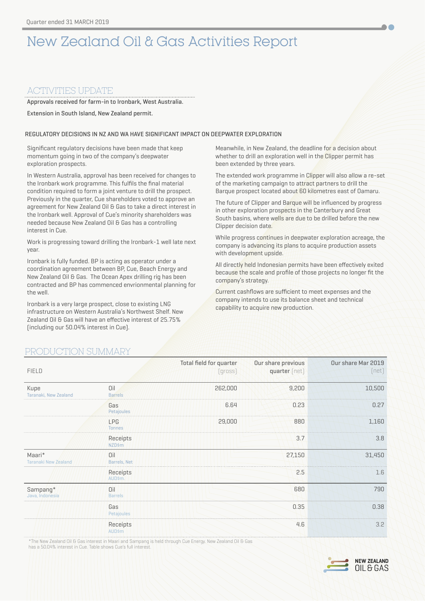# New Zealand Oil & Gas Activities Report

# ACTIVITIES UPDATE

Approvals received for farm-in to Ironbark, West Australia.

Extension in South Island, New Zealand permit.

# REGULATORY DECISIONS IN NZ AND WA HAVE SIGNIFICANT IMPACT ON DEEPWATER EXPLORATION

Significant regulatory decisions have been made that keep momentum going in two of the company's deepwater exploration prospects.

In Western Australia, approval has been received for changes to the Ironbark work programme. This fulfils the final material condition required to form a joint venture to drill the prospect. Previously in the quarter, Cue shareholders voted to approve an agreement for New Zealand Oil & Gas to take a direct interest in the Ironbark well. Approval of Cue's minority shareholders was needed because New Zealand Oil & Gas has a controlling interest in Cue.

Work is progressing toward drilling the Ironbark-1 well late next year.

Ironbark is fully funded. BP is acting as operator under a coordination agreement between BP, Cue, Beach Energy and New Zealand Oil & Gas. The Ocean Apex drilling rig has been contracted and BP has commenced envrionmental planning for the well.

Ironbark is a very large prospect, close to existing LNG infrastructure on Western Australia's Northwest Shelf. New Zealand Oil & Gas will have an effective interest of 25.75% (including our 50.04% interest in Cue).

Meanwhile, in New Zealand, the deadline for a decision about whether to drill an exploration well in the Clipper permit has been extended by three years.

The extended work programme in Clipper will also allow a re-set of the marketing campaign to attract partners to drill the Barque prospect located about 60 kilometres east of Oamaru.

The future of Clipper and Barque will be influenced by progress in other exploration prospects in the Canterbury and Great South basins, where wells are due to be drilled before the new Clipper decision date.

While progress continues in deepwater exploration acreage, the company is advancing its plans to acquire production assets with development upside.

All directly held Indonesian permits have been effectively exited because the scale and profile of those projects no longer fit the company's strategy.

Current cashflows are sufficient to meet expenses and the company intends to use its balance sheet and technical capability to acquire new production.

# PRODUCTION SUMMARY

| <b>FIELD</b>                          |                             | Total field for quarter<br>(gross) | Our share previous<br>quarter (net) | Our share Mar 2019<br>[net] |
|---------------------------------------|-----------------------------|------------------------------------|-------------------------------------|-----------------------------|
| Kupe<br>Taranaki, New Zealand         | Oil<br><b>Barrels</b>       | 262,000                            | 9,200                               | 10,500                      |
|                                       | Gas<br>Petajoules           | 6.64                               | 0.23                                | 0.27                        |
|                                       | <b>LPG</b><br><b>Tonnes</b> | 29,000                             | 880                                 | 1,160                       |
|                                       | Receipts<br>NZD\$m          |                                    | 3.7                                 | 3.8                         |
| Maari*<br><b>Taranaki New Zealand</b> | Oil<br>Barrels, Net         |                                    | 27,150                              | 31,450                      |
|                                       | Receipts<br>AUD\$m.         |                                    | 2.5                                 | 1.6                         |
| Sampang*<br>Java, Indonesia           | Oil<br><b>Barrels</b>       |                                    | 680                                 | 790                         |
|                                       | Gas<br>Petajoules           |                                    | 0.35                                | 0.38                        |
|                                       | Receipts<br><b>AUD\$m</b>   |                                    | 4.6                                 | 3.2                         |

\*The New Zealand Oil & Gas interest in Maari and Sampang is held through Cue Energy. New Zealand Oil & Gas has a 50.04% interest in Cue. Table shows Cue's full interest.

> **NEW ZEALAND** OIL & GAS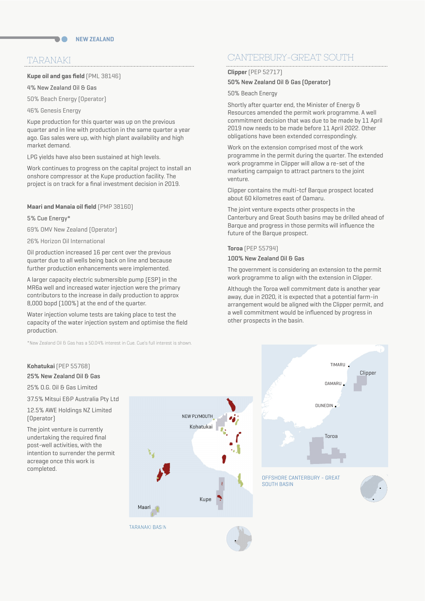# TARANAKI

## **Kupe oil and gas field** (PML 38146)

4% New Zealand Oil & Gas

50% Beach Energy (Operator)

46% Genesis Energy

Kupe production for this quarter was up on the previous quarter and in line with production in the same quarter a year ago. Gas sales were up, with high plant availability and high market demand.

LPG yields have also been sustained at high levels.

Work continues to progress on the capital project to install an onshore compressor at the Kupe production facility. The project is on track for a final investment decision in 2019.

**Maari and Manaia oil field** (PMP 38160)

5% Cue Energy\*

69% OMV New Zealand (Operator)

26% Horizon Oil International

Oil production increased 16 per cent over the previous quarter due to all wells being back on line and because further production enhancements were implemented.

A larger capacity electric submersible pump (ESP) in the MR6a well and increased water injection were the primary contributors to the increase in daily production to approx 8,000 bopd (100%) at the end of the quarter.

Water injection volume tests are taking place to test the capacity of the water injection system and optimise the field production.

\*New Zealand Oil & Gas has a 50.04% interest in Cue. Cue's full interest is shown.

# **Kohatukai** (PEP 55768)

### 25% New Zealand Oil & Gas

25% O.G. Oil & Gas Limited

37.5% Mitsui E&P Australia Pty Ltd

12.5% AWE Holdings NZ Limited (Operator)

The joint venture is currently undertaking the required final post-well activities, with the intention to surrender the permit acreage once this work is completed.



# CANTERBURY-GREAT SOUTH

### **Clipper** (PEP 52717)

# 50% New Zealand Oil & Gas (Operator)

50% Beach Energy

Shortly after quarter end, the Minister of Energy & Resources amended the permit work programme. A well commitment decision that was due to be made by 11 April 2019 now needs to be made before 11 April 2022. Other obligations have been extended correspondingly.

Work on the extension comprised most of the work programme in the permit during the quarter. The extended work programme in Clipper will allow a re-set of the marketing campaign to attract partners to the joint venture.

Clipper contains the multi-tcf Barque prospect located about 60 kilometres east of Oamaru.

The joint venture expects other prospects in the Canterbury and Great South basins may be drilled ahead of Barque and progress in those permits will influence the future of the Barque prospect.

#### **Toroa** (PEP 55794)

#### 100% New Zealand Oil & Gas

The government is considering an extension to the permit work programme to align with the extension in Clipper.

Although the Toroa well commitment date is another year away, due in 2020, it is expected that a potential farm-in arrangement would be aligned with the Clipper permit, and a well commitment would be influenced by progress in other prospects in the basin.

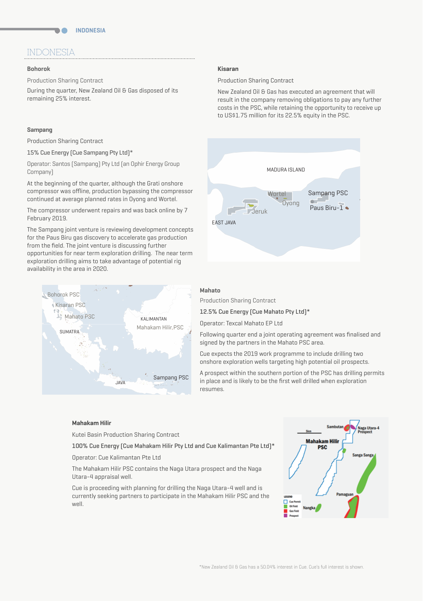# INDONESIA

n A

#### **Bohorok**

Production Sharing Contract

During the quarter, New Zealand Oil & Gas disposed of its remaining 25% interest.

#### **Sampang**

Production Sharing Contract

15% Cue Energy (Cue Sampang Pty Ltd)\*

Operator: Santos (Sampang) Pty Ltd (an Ophir Energy Group Company)

At the beginning of the quarter, although the Grati onshore compressor was offline, production bypassing the compressor continued at average planned rates in Oyong and Wortel.

The compressor underwent repairs and was back online by 7 February 2019.

The Sampang joint venture is reviewing development concepts for the Paus Biru gas discovery to accelerate gas production from the field. The joint venture is discussing further opportunities for near term exploration drilling. The near term exploration drilling aims to take advantage of potential rig availability in the area in 2020.



#### **Kisaran**

Production Sharing Contract

New Zealand Oil & Gas has executed an agreement that will result in the company removing obligations to pay any further costs in the PSC, while retaining the opportunity to receive up to US\$1.75 million for its 22.5% equity in the PSC.



# Mahato

Production Sharing Contract

12.5% Cue Energy (Cue Mahato Pty Ltd)\*

Operator: Texcal Mahato EP Ltd

Following quarter end a joint operating agreement was finalised and signed by the partners in the Mahato PSC area.

Cue expects the 2019 work programme to include drilling two onshore exploration wells targeting high potential oil prospects.

A prospect within the southern portion of the PSC has drilling permits in place and is likely to be the first well drilled when exploration resumes.

#### **Mahakam Hilir**

Kutei Basin Production Sharing Contract

100% Cue Energy (Cue Mahakam Hilir Pty Ltd and Cue Kalimantan Pte Ltd)\*

Operator: Cue Kalimantan Pte Ltd

The Mahakam Hilir PSC contains the Naga Utara prospect and the Naga Utara-4 appraisal well.

Cue is proceeding with planning for drilling the Naga Utara-4 well and is currently seeking partners to participate in the Mahakam Hilir PSC and the well.

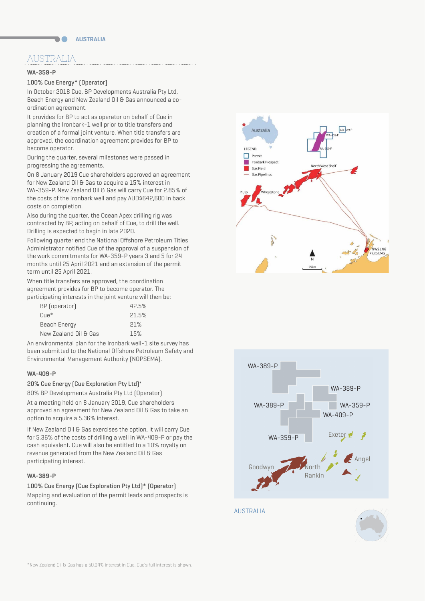# AUSTRALIA

### **WA-359-P**

# 100% Cue Energy\* (Operator)

In October 2018 Cue, BP Developments Australia Pty Ltd, Beach Energy and New Zealand Oil & Gas announced a coordination agreement.

It provides for BP to act as operator on behalf of Cue in planning the Ironbark-1 well prior to title transfers and creation of a formal joint venture. When title transfers are approved, the coordination agreement provides for BP to become operator.

During the quarter, several milestones were passed in progressing the agreements.

On 8 January 2019 Cue shareholders approved an agreement for New Zealand Oil & Gas to acquire a 15% interest in WA-359-P. New Zealand Oil & Gas will carry Cue for 2.85% of the costs of the Ironbark well and pay AUD\$642,600 in back costs on completion.

Also during the quarter, the Ocean Apex drilling rig was contracted by BP, acting on behalf of Cue, to drill the well. Drilling is expected to begin in late 2020.

Following quarter end the National Offshore Petroleum Titles Administrator notified Cue of the approval of a suspension of the work commitments for WA-359-P years 3 and 5 for 24 months until 25 April 2021 and an extension of the permit term until 25 April 2021.

When title transfers are approved, the coordination agreement provides for BP to become operator. The participating interests in the joint venture will then be:

| BP (operator)         | 42.5% |
|-----------------------|-------|
| $C$ ue <sup>*</sup>   | 21.5% |
| Beach Energy          | 21%   |
| New Zealand Oil & Gas | 15%   |
|                       |       |

An environmental plan for the Ironbark well-1 site survey has been submitted to the National Offshore Petroleum Safety and Environmental Management Authority (NOPSEMA).

### **WA-409-P**

### 20% Cue Energy (Cue Exploration Pty Ltd)\*

80% BP Developments Australia Pty Ltd (Operator) At a meeting held on 8 January 2019, Cue shareholders approved an agreement for New Zealand Oil & Gas to take an option to acquire a 5.36% interest.

If New Zealand Oil & Gas exercises the option, it will carry Cue for 5.36% of the costs of drilling a well in WA-409-P or pay the cash equivalent. Cue will also be entitled to a 10% royalty on revenue generated from the New Zealand Oil & Gas participating interest.

#### **WA-389-P**

100% Cue Energy (Cue Exploration Pty Ltd)\* (Operator) Mapping and evaluation of the permit leads and prospects is continuing.





AUSTRALIA